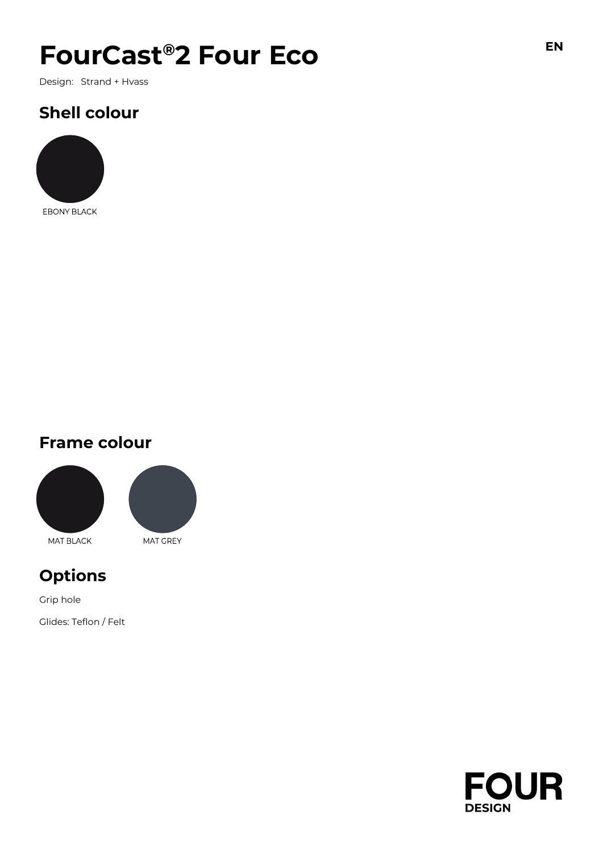# $F$ **OUrCast<sup>®</sup>2 Four Eco**

Design: Strand + Hvass

## **Shell colour**



EBONY BLACK

### **Frame colour**





### **Options**

Grip hole Glides: Teflon / Felt

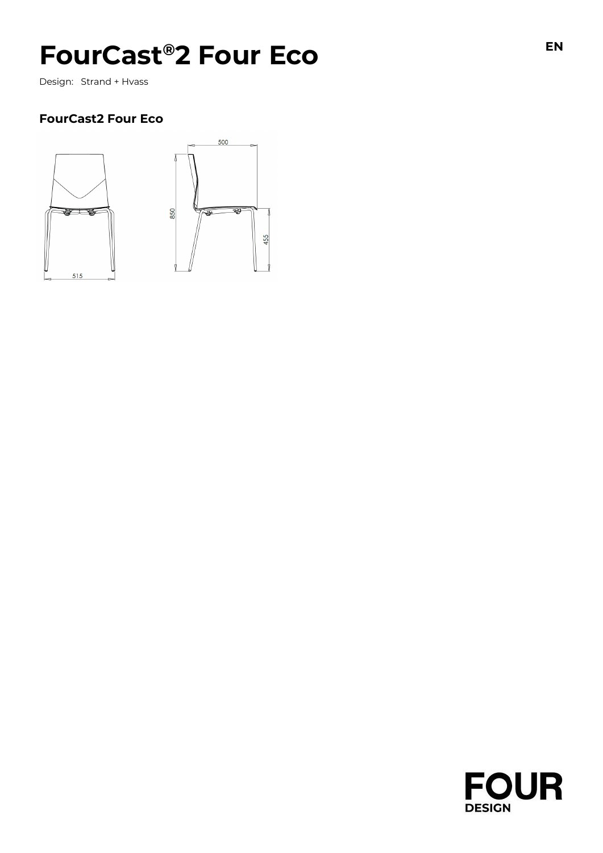# FourCast®2 Four Eco **EDINE EN**

Design: Strand + Hvass

#### **FourCast2 Four Eco**